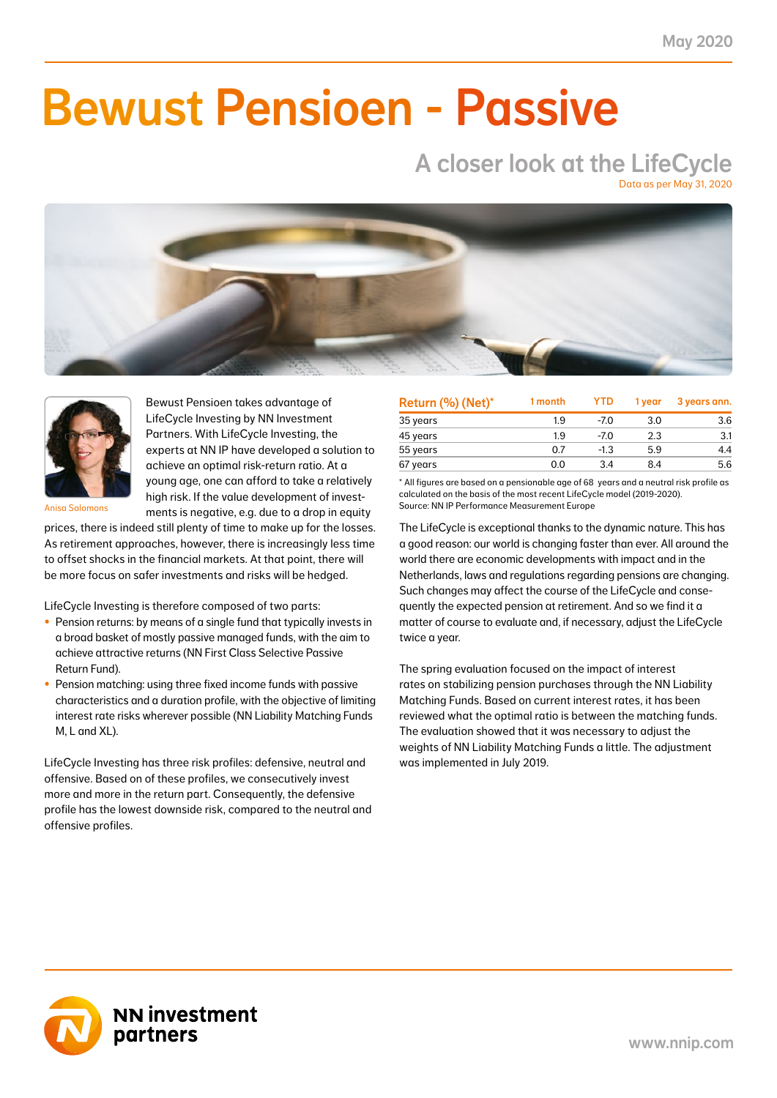NN First Class Selective Passive Return Fund 2.5 0.9 -9.2 -2.2 1.0 0.6 2.7 1.1 8.2 3.6 41.0

### NN Liability Matching Fund M -0.1 0.0 0.6 0.1 0.6 0.2 0.9 0.4 2.7 1.1 38.0  $\blacksquare$ NN Liability Matching Fund XL -3.3 -0.5 28.2 1.9 47.3 4.7 23.1 2.5 86.6 7.7 11.0 Bewust Pensioen - Passive

# A closer look at the LifeCycle

Data as per May 31, 2020





Bewust Pensioen takes advantage of LifeCycle Investing by NN Investment Partners. With LifeCycle Investing, the experts at NN IP have developed a solution to achieve an optimal risk-return ratio. At a young age, one can afford to take a relatively high risk. If the value development of investments is negative, e.g. due to a drop in equity

Anisa Salomons

prices, there is indeed still plenty of time to make up for the losses. As retirement approaches, however, there is increasingly less time to offset shocks in the financial markets. At that point, there will be more focus on safer investments and risks will be hedged.

LifeCycle Investing is therefore composed of two parts:

- Pension returns: by means of a single fund that typically invests in a broad basket of mostly passive managed funds, with the aim to achieve attractive returns (NN First Class Selective Passive Return Fund).
- Pension matching: using three fixed income funds with passive characteristics and a duration profile, with the objective of limiting interest rate risks wherever possible (NN Liability Matching Funds M, L and XL).

LifeCycle Investing has three risk profiles: defensive, neutral and offensive. Based on of these profiles, we consecutively invest more and more in the return part. Consequently, the defensive profile has the lowest downside risk, compared to the neutral and offensive profiles.

| Return (%) (Net)* | 1 month | <b>YTD</b> | 1 vear | 3 years ann. |
|-------------------|---------|------------|--------|--------------|
| 35 years          | 1.9     | -7.0       | 3.0    | 3.6          |
| 45 years          | 1.9     | $-7.0$     | 2.3    | 3.1          |
| 55 years          | 0.7     | $-1.3$     | 5.9    | 4.4          |
| 67 years          | 0.0     | 3.4        | 8.4    | 5.6          |

\* All figures are based on a pensionable age of 68 years and a neutral risk profile as calculated on the basis of the most recent LifeCycle model (2019-2020). Source: NN IP Performance Measurement Europe

The LifeCycle is exceptional thanks to the dynamic nature. This has a good reason: our world is changing faster than ever. All around the world there are economic developments with impact and in the Netherlands, laws and regulations regarding pensions are changing. Such changes may affect the course of the LifeCycle and consequently the expected pension at retirement. And so we find it a matter of course to evaluate and, if necessary, adjust the LifeCycle twice a year.

The spring evaluation focused on the impact of interest rates on stabilizing pension purchases through the NN Liability Matching Funds. Based on current interest rates, it has been reviewed what the optimal ratio is between the matching funds. The evaluation showed that it was necessary to adjust the weights of NN Liability Matching Funds a little. The adjustment was implemented in July 2019.

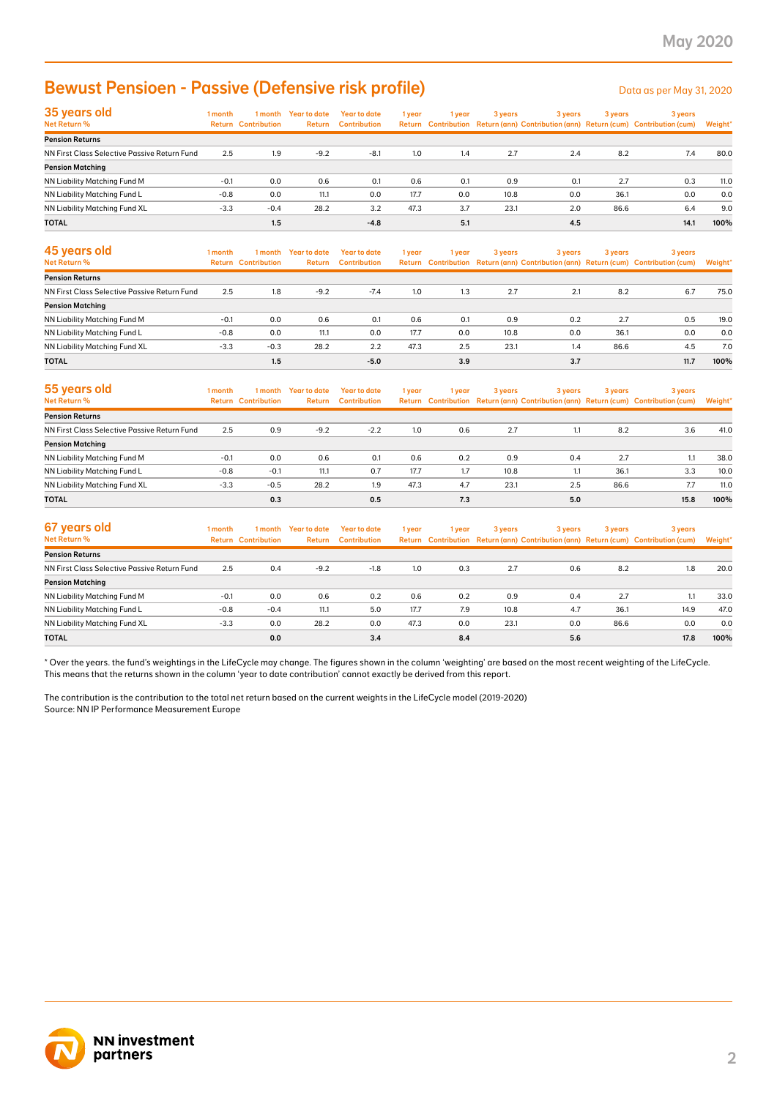## Bewust Pensioen - Passive (Defensive risk profile)

| 35 years old<br>Net Return %                 | 1 month | 1 month<br><b>Return Contribution</b> | Year to date<br>Return | Year to date<br><b>Contribution</b> | 1 year | 1 vear | 3 years | 3 years | 3 years | 3 years<br>Return Contribution Return (ann) Contribution (ann) Return (cum) Contribution (cum) | Weight* |
|----------------------------------------------|---------|---------------------------------------|------------------------|-------------------------------------|--------|--------|---------|---------|---------|------------------------------------------------------------------------------------------------|---------|
| <b>Pension Returns</b>                       |         |                                       |                        |                                     |        |        |         |         |         |                                                                                                |         |
| NN First Class Selective Passive Return Fund | 2.5     | 1.9                                   | $-9.2$                 | $-8.1$                              | 1.0    | 1.4    | 2.7     | 2.4     | 8.2     | 7.4                                                                                            | 80.0    |
| <b>Pension Matching</b>                      |         |                                       |                        |                                     |        |        |         |         |         |                                                                                                |         |
| NN Liability Matching Fund M                 | $-0.1$  | 0.0                                   | 0.6                    | 0.1                                 | 0.6    | 0.1    | 0.9     | 0.1     | 2.7     | 0.3                                                                                            | 11.0    |
| NN Liability Matching Fund L                 | $-0.8$  | 0.0                                   | 11.1                   | 0.0                                 | 17.7   | 0.0    | 10.8    | 0.0     | 36.1    | 0.0                                                                                            | 0.0     |
| NN Liability Matching Fund XL                | $-3.3$  | $-0.4$                                | 28.2                   | 3.2                                 | 47.3   | 3.7    | 23.1    | 2.0     | 86.6    | 6.4                                                                                            | 9.0     |
| <b>TOTAL</b>                                 |         | 1.5                                   |                        | $-4.8$                              |        | 5.1    |         | 4.5     |         | 14.1                                                                                           | 100%    |

| <b>Bewust Pensioen - Passive (Defensive risk profile)</b>                                                                                                                                                                                                                                                                                                                                                                                                                          |         |                                       |                                |                                            |             |            |             |            |             | Data as per May 31, 2020                                                                       |             |
|------------------------------------------------------------------------------------------------------------------------------------------------------------------------------------------------------------------------------------------------------------------------------------------------------------------------------------------------------------------------------------------------------------------------------------------------------------------------------------|---------|---------------------------------------|--------------------------------|--------------------------------------------|-------------|------------|-------------|------------|-------------|------------------------------------------------------------------------------------------------|-------------|
| 35 years old<br>Net Return %                                                                                                                                                                                                                                                                                                                                                                                                                                                       | 1 month | <b>Return Contribution</b>            | 1 month Year to date<br>Return | <b>Year to date</b><br><b>Contribution</b> | 1 year      | 1 year     | 3 years     | 3 years    | 3 years     | 3 years<br>Return Contribution Return (ann) Contribution (ann) Return (cum) Contribution (cum) | Weight'     |
| <b>Pension Returns</b>                                                                                                                                                                                                                                                                                                                                                                                                                                                             |         |                                       |                                |                                            |             |            |             |            |             |                                                                                                |             |
| NN First Class Selective Passive Return Fund                                                                                                                                                                                                                                                                                                                                                                                                                                       | 2.5     | 1.9                                   | $-9.2$                         | $-8.1$                                     | 1.0         | 1.4        | 2.7         | 2.4        | 8.2         | 7.4                                                                                            | 80.0        |
| <b>Pension Matching</b>                                                                                                                                                                                                                                                                                                                                                                                                                                                            | $-0.1$  |                                       |                                |                                            |             | 0.1        |             | 0.1        |             |                                                                                                |             |
| NN Liability Matching Fund M<br>NN Liability Matching Fund L                                                                                                                                                                                                                                                                                                                                                                                                                       | $-0.8$  | 0.0<br>0.0                            | 0.6<br>11.1                    | 0.1<br>0.0                                 | 0.6<br>17.7 | 0.0        | 0.9<br>10.8 | 0.0        | 2.7<br>36.1 | 0.3<br>0.0                                                                                     | 11.0<br>0.0 |
| NN Liability Matching Fund XL                                                                                                                                                                                                                                                                                                                                                                                                                                                      | $-3.3$  | $-0.4$                                | 28.2                           | 3.2                                        | 47.3        | 3.7        | 23.1        | 2.0        | 86.6        | 6.4                                                                                            | 9.0         |
| <b>TOTAL</b>                                                                                                                                                                                                                                                                                                                                                                                                                                                                       |         | 1.5                                   |                                | $-4.8$                                     |             | 5.1        |             | 4.5        |             | 14.1                                                                                           | 100%        |
|                                                                                                                                                                                                                                                                                                                                                                                                                                                                                    |         |                                       |                                |                                            |             |            |             |            |             |                                                                                                |             |
| 45 years old<br>Net Return %                                                                                                                                                                                                                                                                                                                                                                                                                                                       | 1 month | 1 month<br><b>Return Contribution</b> | <b>Year to date</b><br>Return  | <b>Year to date</b><br><b>Contribution</b> | 1 year      | 1 year     | 3 years     | 3 years    | 3 years     | 3 years<br>Return Contribution Return (ann) Contribution (ann) Return (cum) Contribution (cum) | Weight'     |
| <b>Pension Returns</b>                                                                                                                                                                                                                                                                                                                                                                                                                                                             |         |                                       |                                |                                            |             |            |             |            |             |                                                                                                |             |
| NN First Class Selective Passive Return Fund                                                                                                                                                                                                                                                                                                                                                                                                                                       | 2.5     | 1.8                                   | $-9.2$                         | $-7.4$                                     | 1.0         | 1.3        | 2.7         | 2.1        | 8.2         | 6.7                                                                                            | 75.0        |
| <b>Pension Matching</b>                                                                                                                                                                                                                                                                                                                                                                                                                                                            |         |                                       |                                |                                            |             |            |             |            |             |                                                                                                |             |
| NN Liability Matching Fund M                                                                                                                                                                                                                                                                                                                                                                                                                                                       | $-0.1$  | 0.0                                   | 0.6                            | 0.1                                        | 0.6         | 0.1        | 0.9         | 0.2        | 2.7         | 0.5                                                                                            | 19.0        |
| NN Liability Matching Fund L                                                                                                                                                                                                                                                                                                                                                                                                                                                       | $-0.8$  | 0.0                                   | 11.1                           | 0.0                                        | 17.7        | 0.0        | 10.8        | 0.0        | 36.1        | 0.0                                                                                            | 0.0         |
| NN Liability Matching Fund XL                                                                                                                                                                                                                                                                                                                                                                                                                                                      | $-3.3$  | $-0.3$                                | 28.2                           | 2.2                                        | 47.3        | 2.5        | 23.1        | 1.4        | 86.6        | 4.5                                                                                            | 7.0         |
| TOTAL                                                                                                                                                                                                                                                                                                                                                                                                                                                                              |         | 1.5                                   |                                | $-5.0$                                     |             | 3.9        |             | 3.7        |             | 11.7                                                                                           | 100%        |
| 55 years old                                                                                                                                                                                                                                                                                                                                                                                                                                                                       | 1 month | 1 month                               | <b>Year to date</b>            | <b>Year to date</b>                        | 1 year      | 1 year     | 3 years     | 3 years    | 3 years     | 3 years                                                                                        |             |
| Net Return %                                                                                                                                                                                                                                                                                                                                                                                                                                                                       |         | <b>Return Contribution</b>            | Return                         | <b>Contribution</b>                        |             |            |             |            |             | Return Contribution Return (ann) Contribution (ann) Return (cum) Contribution (cum)            | Weight*     |
| <b>Pension Returns</b><br>NN First Class Selective Passive Return Fund                                                                                                                                                                                                                                                                                                                                                                                                             |         |                                       |                                |                                            |             |            |             |            |             |                                                                                                |             |
| <b>Pension Matching</b>                                                                                                                                                                                                                                                                                                                                                                                                                                                            | 2.5     | 0.9                                   | $-9.2$                         | $-2.2$                                     | 1.0         | 0.6        | 2.7         | 1.1        | 8.2         | 3.6                                                                                            | 41.0        |
| NN Liability Matching Fund M                                                                                                                                                                                                                                                                                                                                                                                                                                                       | $-0.1$  | 0.0                                   | 0.6                            | 0.1                                        | 0.6         | 0.2        | 0.9         | 0.4        | 2.7         | 1.1                                                                                            | 38.0        |
| NN Liability Matching Fund L                                                                                                                                                                                                                                                                                                                                                                                                                                                       | $-0.8$  | $-0.1$                                | 11.1                           | 0.7                                        | 17.7        | 1.7        | 10.8        | 1.1        | 36.1        | 3.3                                                                                            | 10.0        |
| NN Liability Matching Fund XL                                                                                                                                                                                                                                                                                                                                                                                                                                                      | $-3.3$  | $-0.5$                                | 28.2                           | 1.9                                        | 47.3        | 4.7        | 23.1        | 2.5        | 86.6        | 7.7                                                                                            | 11.0        |
| TOTAL                                                                                                                                                                                                                                                                                                                                                                                                                                                                              |         | 0.3                                   |                                | 0.5                                        |             | 7.3        |             | 5.0        |             | 15.8                                                                                           | 100%        |
|                                                                                                                                                                                                                                                                                                                                                                                                                                                                                    |         |                                       |                                |                                            |             |            |             |            |             |                                                                                                |             |
| 67 years old<br>Net Return %                                                                                                                                                                                                                                                                                                                                                                                                                                                       | 1 month | 1 month<br><b>Return Contribution</b> | <b>Year to date</b><br>Return  | <b>Year to date</b><br><b>Contribution</b> | 1 year      | 1 year     | 3 years     | 3 years    | 3 years     | 3 years<br>Return Contribution Return (ann) Contribution (ann) Return (cum) Contribution (cum) | Weight'     |
| <b>Pension Returns</b>                                                                                                                                                                                                                                                                                                                                                                                                                                                             |         |                                       |                                |                                            |             |            |             |            |             |                                                                                                |             |
| NN First Class Selective Passive Return Fund                                                                                                                                                                                                                                                                                                                                                                                                                                       | 2.5     | 0.4                                   | $-9.2$                         | $-1.8$                                     | 1.0         | 0.3        | 2.7         | 0.6        | 8.2         | 1.8                                                                                            | 20.0        |
| <b>Pension Matching</b>                                                                                                                                                                                                                                                                                                                                                                                                                                                            |         |                                       |                                |                                            |             |            |             |            |             |                                                                                                |             |
| NN Liability Matching Fund M                                                                                                                                                                                                                                                                                                                                                                                                                                                       | $-0.1$  | 0.0                                   | 0.6                            | 0.2                                        | 0.6         | 0.2        | 0.9         | 0.4        | 2.7         | 1.1                                                                                            | 33.0        |
| NN Liability Matching Fund L                                                                                                                                                                                                                                                                                                                                                                                                                                                       | $-0.8$  | $-0.4$                                | 11.1                           | 5.0                                        | 17.7        | 7.9        | 10.8        | 4.7        | 36.1        | 14.9                                                                                           | 47.0        |
| NN Liability Matching Fund XL<br><b>TOTAL</b>                                                                                                                                                                                                                                                                                                                                                                                                                                      | $-3.3$  | 0.0<br>0.0                            | 28.2                           | 0.0<br>3.4                                 | 47.3        | 0.0<br>8.4 | 23.1        | 0.0<br>5.6 | 86.6        | 0.0<br>17.8                                                                                    | 0.0<br>100% |
| Over the years. the fund's weightings in the LifeCycle may change. The figures shown in the column 'weighting' are based on the most recent weighting of the LifeCycle.<br>This means that the returns shown in the column 'year to date contribution' cannot exactly be derived from this report.<br>The contribution is the contribution to the total net return based on the current weights in the LifeCycle model (2019-2020)<br>Source: NN IP Performance Measurement Europe |         |                                       |                                |                                            |             |            |             |            |             |                                                                                                |             |
|                                                                                                                                                                                                                                                                                                                                                                                                                                                                                    |         |                                       |                                |                                            |             |            |             |            |             |                                                                                                |             |
| <b>NN investment</b><br>partners                                                                                                                                                                                                                                                                                                                                                                                                                                                   |         |                                       |                                |                                            |             |            |             |            |             |                                                                                                |             |

| 55 years old                                 | 1 month | 1 month                    | <b>Year to date</b> | Year to date        | 1 year | l year | 3 years | 3 years |      | 3 years                                                                             | 3 years |  |
|----------------------------------------------|---------|----------------------------|---------------------|---------------------|--------|--------|---------|---------|------|-------------------------------------------------------------------------------------|---------|--|
| Net Return %                                 |         | <b>Return Contribution</b> | Return              | <b>Contribution</b> |        |        |         |         |      | Return Contribution Return (ann) Contribution (ann) Return (cum) Contribution (cum) | Weight* |  |
| <b>Pension Returns</b>                       |         |                            |                     |                     |        |        |         |         |      |                                                                                     |         |  |
| NN First Class Selective Passive Return Fund | 2.5     | 0.9                        | $-9.2$              | $-2.2$              | 1.0    | 0.6    | 2.7     |         | 8.2  | 3.6                                                                                 | 41.0    |  |
| <b>Pension Matching</b>                      |         |                            |                     |                     |        |        |         |         |      |                                                                                     |         |  |
| NN Liability Matching Fund M                 | $-0.1$  | 0.0                        | 0.6                 | 0.1                 | 0.6    | 0.2    | 0.9     | 0.4     | 2.7  | 1.1                                                                                 | 38.0    |  |
| NN Liability Matching Fund L                 | $-0.8$  | $-0.1$                     | 11.1                | 0.7                 | 17.7   | 1.7    | 10.8    | 1.1     | 36.1 | 3.3                                                                                 | 10.0    |  |
| NN Liability Matching Fund XL                | $-3.3$  | $-0.5$                     | 28.2                | 1.9                 | 47.3   | 4.7    | 23.1    | 2.5     | 86.6 | 7.7                                                                                 | 11.0    |  |
| <b>TOTAL</b>                                 |         | 0.3                        |                     | 0.5                 |        | 7.3    |         | 5.0     |      | 15.8                                                                                | 100%    |  |

| 67 years old                                 | 1 month | 1 month                    | <b>Year to date</b> | <b>Year to date</b> | 1 year | 1 year | 3 years | 3 years | 3 years | 3 years                                                                             |         |
|----------------------------------------------|---------|----------------------------|---------------------|---------------------|--------|--------|---------|---------|---------|-------------------------------------------------------------------------------------|---------|
| Net Return %                                 |         | <b>Return Contribution</b> | Return              | <b>Contribution</b> |        |        |         |         |         | Return Contribution Return (ann) Contribution (ann) Return (cum) Contribution (cum) | Weight* |
| <b>Pension Returns</b>                       |         |                            |                     |                     |        |        |         |         |         |                                                                                     |         |
| NN First Class Selective Passive Return Fund | 2.5     | 0.4                        | $-9.2$              | $-1.8$              | 1.0    | 0.3    | 2.7     | 0.6     | 8.2     | 1.8                                                                                 | 20.0    |
| <b>Pension Matching</b>                      |         |                            |                     |                     |        |        |         |         |         |                                                                                     |         |
| NN Liability Matching Fund M                 | $-0.1$  | 0.0                        | 0.6                 | 0.2                 | 0.6    | 0.2    | 0.9     | 0.4     | 2.7     | 1.1                                                                                 | 33.0    |
| NN Liability Matching Fund L                 | $-0.8$  | $-0.4$                     | 11.1                | 5.0                 | 17.7   | 7.9    | 10.8    | 4.7     | 36.1    | 14.9                                                                                | 47.0    |
| NN Liability Matching Fund XL                | $-3.3$  | 0.0                        | 28.2                | 0.0                 | 47.3   | 0.0    | 23.1    | 0.0     | 86.6    | 0.0                                                                                 | 0.0     |
| <b>TOTAL</b>                                 |         | 0.0                        |                     | 3.4                 |        | 8.4    |         | 5.6     |         | 17.8                                                                                | 100%    |

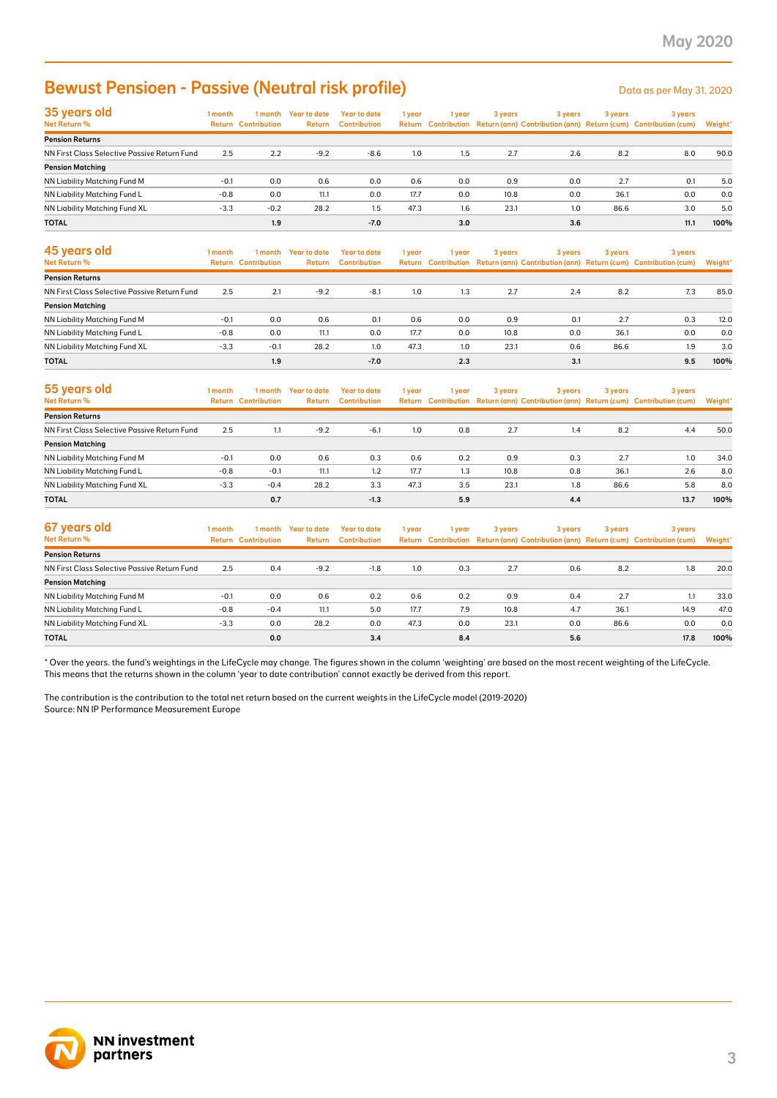## Bewust Pensioen - Passive (Neutral risk profile) and the Computer of Data as per May 31, 2020

| 35 years old<br>Net Return %                 | 1 month | 1 month<br><b>Return Contribution</b> | Year to date<br>Return | Year to date<br><b>Contribution</b> | 1 year | 1 year | 3 years | 3 years | 3 years | 3 years<br>Return Contribution Return (ann) Contribution (ann) Return (cum) Contribution (cum) | Weight* |
|----------------------------------------------|---------|---------------------------------------|------------------------|-------------------------------------|--------|--------|---------|---------|---------|------------------------------------------------------------------------------------------------|---------|
| <b>Pension Returns</b>                       |         |                                       |                        |                                     |        |        |         |         |         |                                                                                                |         |
| NN First Class Selective Passive Return Fund | 2.5     | 2.2                                   | $-9.2$                 | -8.6                                | 1.0    | 1.5    | 2.7     | 2.6     | 8.2     | 8.0                                                                                            | 90.0    |
| <b>Pension Matching</b>                      |         |                                       |                        |                                     |        |        |         |         |         |                                                                                                |         |
| NN Liability Matching Fund M                 | $-0.1$  | 0.0                                   | 0.6                    | 0.0                                 | 0.6    | 0.0    | 0.9     | 0.0     | 2.7     | 0.1                                                                                            | 5.0     |
| NN Liability Matching Fund L                 | $-0.8$  | 0.0                                   | 11.1                   | 0.0                                 | 17.7   | 0.0    | 10.8    | 0.0     | 36.1    | 0.0                                                                                            | 0.0     |
| NN Liability Matching Fund XL                | $-3.3$  | $-0.2$                                | 28.2                   | 1.5                                 | 47.3   | 1.6    | 23.1    | 1.0     | 86.6    | 3.0                                                                                            | 5.0     |
| <b>TOTAL</b>                                 |         | 1.9                                   |                        | $-7.0$                              |        | 3.0    |         | 3.6     |         | 11.1                                                                                           | 100%    |

| <b>Bewust Pensioen - Passive (Neutral risk profile)</b>                                                                                                                                                                                                                                                       |         |                                       |                                      |                                            |        |        |         |         |         | Data as per May 31, 2020                                                                       |                |
|---------------------------------------------------------------------------------------------------------------------------------------------------------------------------------------------------------------------------------------------------------------------------------------------------------------|---------|---------------------------------------|--------------------------------------|--------------------------------------------|--------|--------|---------|---------|---------|------------------------------------------------------------------------------------------------|----------------|
| 35 years old<br>Net Return %                                                                                                                                                                                                                                                                                  | 1 month | <b>Return Contribution</b>            | 1 month Year to date<br>Return       | <b>Year to date</b><br><b>Contribution</b> | 1 year | 1 year | 3 years | 3 years | 3 years | 3 years<br>Return Contribution Return (ann) Contribution (ann) Return (cum) Contribution (cum) | <b>Weight'</b> |
| <b>Pension Returns</b>                                                                                                                                                                                                                                                                                        |         |                                       |                                      |                                            |        |        |         |         |         |                                                                                                |                |
| NN First Class Selective Passive Return Fund                                                                                                                                                                                                                                                                  | 2.5     | 2.2                                   | $-9.2$                               | $-8.6$                                     | 1.0    | 1.5    | 2.7     | 2.6     | 8.2     | 8.0                                                                                            | 90.0           |
| <b>Pension Matching</b><br>NN Liability Matching Fund M                                                                                                                                                                                                                                                       | $-0.1$  | 0.0                                   | 0.6                                  | 0.0                                        | 0.6    | 0.0    | 0.9     | 0.0     | 2.7     | 0.1                                                                                            | 5.0            |
| NN Liability Matching Fund L                                                                                                                                                                                                                                                                                  | $-0.8$  | 0.0                                   | 11.1                                 | 0.0                                        | 17.7   | 0.0    | 10.8    | 0.0     | 36.1    | 0.0                                                                                            | 0.0            |
| NN Liability Matching Fund XL                                                                                                                                                                                                                                                                                 | $-3.3$  | $-0.2$                                | 28.2                                 | 1.5                                        | 47.3   | 1.6    | 23.1    | 1.0     | 86.6    | 3.0                                                                                            | 5.0            |
| TOTAL                                                                                                                                                                                                                                                                                                         |         | 1.9                                   |                                      | $-7.0$                                     |        | 3.0    |         | 3.6     |         | 11.1                                                                                           | 100%           |
| 45 years old<br>Net Return %                                                                                                                                                                                                                                                                                  | 1 month | 1 month<br><b>Return Contribution</b> | <b>Year to date</b><br><b>Return</b> | <b>Year to date</b><br><b>Contribution</b> | 1 year | 1 year | 3 years | 3 years | 3 years | 3 years<br>Return Contribution Return (ann) Contribution (ann) Return (cum) Contribution (cum) | <b>Weight'</b> |
| <b>Pension Returns</b>                                                                                                                                                                                                                                                                                        |         |                                       |                                      |                                            |        |        |         |         |         |                                                                                                |                |
| NN First Class Selective Passive Return Fund                                                                                                                                                                                                                                                                  | 2.5     | 2.1                                   | $-9.2$                               | $-8.1$                                     | 1.0    | 1.3    | 2.7     | 2.4     | 8.2     | 7.3                                                                                            | 85.0           |
| <b>Pension Matching</b>                                                                                                                                                                                                                                                                                       |         |                                       |                                      |                                            |        |        |         |         |         |                                                                                                |                |
| NN Liability Matching Fund M                                                                                                                                                                                                                                                                                  | $-0.1$  | 0.0                                   | 0.6                                  | 0.1                                        | 0.6    | 0.0    | 0.9     | 0.1     | 2.7     | 0.3                                                                                            | 12.0           |
| NN Liability Matching Fund L                                                                                                                                                                                                                                                                                  | $-0.8$  | 0.0                                   | 11.1                                 | 0.0                                        | 17.7   | 0.0    | 10.8    | 0.0     | 36.1    | 0.0                                                                                            | 0.0            |
| NN Liability Matching Fund XL                                                                                                                                                                                                                                                                                 | $-3.3$  | $-0.1$                                | 28.2                                 | 1.0                                        | 47.3   | 1.0    | 23.1    | 0.6     | 86.6    | 1.9                                                                                            | 3.0            |
| TOTAL                                                                                                                                                                                                                                                                                                         |         | 1.9                                   |                                      | $-7.0$                                     |        | 2.3    |         | 3.1     |         | 9.5                                                                                            | 100%           |
| 55 years old<br>Net Return %                                                                                                                                                                                                                                                                                  | 1 month | 1 month<br><b>Return Contribution</b> | <b>Year to date</b><br>Return        | <b>Year to date</b><br><b>Contribution</b> | 1 year | 1 year | 3 years | 3 years | 3 years | 3 years<br>Return Contribution Return (ann) Contribution (ann) Return (cum) Contribution (cum) | Weight'        |
| <b>Pension Returns</b>                                                                                                                                                                                                                                                                                        |         |                                       |                                      |                                            |        |        |         |         |         |                                                                                                |                |
| NN First Class Selective Passive Return Fund                                                                                                                                                                                                                                                                  | 2.5     | 1.1                                   | $-9.2$                               | $-6.1$                                     | 1.0    | 0.8    | 2.7     | 1.4     | 8.2     | 4.4                                                                                            | 50.0           |
| <b>Pension Matching</b>                                                                                                                                                                                                                                                                                       |         |                                       |                                      |                                            |        |        |         |         |         |                                                                                                |                |
| NN Liability Matching Fund M                                                                                                                                                                                                                                                                                  | $-0.1$  | 0.0                                   | 0.6                                  | 0.3                                        | 0.6    | 0.2    | 0.9     | 0.3     | 2.7     | 1.0                                                                                            | 34.0           |
| NN Liability Matching Fund L                                                                                                                                                                                                                                                                                  | $-0.8$  | $-0.1$                                | 11.1                                 | 1.2                                        | 17.7   | 1.3    | 10.8    | 0.8     | 36.1    | 2.6                                                                                            | 8.0            |
| NN Liability Matching Fund XL                                                                                                                                                                                                                                                                                 | $-3.3$  | $-0.4$                                | 28.2                                 | 3.3                                        | 47.3   | 3.5    | 23.1    | 1.8     | 86.6    | 5.8                                                                                            | 8.0            |
| <b>TOTAL</b>                                                                                                                                                                                                                                                                                                  |         | 0.7                                   |                                      | $-1.3$                                     |        | 5.9    |         | 4.4     |         | 13.7                                                                                           | 100%           |
| 67 years old<br>Net Return %                                                                                                                                                                                                                                                                                  | 1 month | 1 month<br><b>Return Contribution</b> | <b>Year to date</b><br>Return        | <b>Year to date</b><br><b>Contribution</b> | 1 year | 1 year | 3 years | 3 years | 3 years | 3 years<br>Return Contribution Return (ann) Contribution (ann) Return (cum) Contribution (cum) | Weight'        |
| <b>Pension Returns</b>                                                                                                                                                                                                                                                                                        |         |                                       |                                      |                                            |        |        |         |         |         |                                                                                                |                |
| NN First Class Selective Passive Return Fund                                                                                                                                                                                                                                                                  | 2.5     | 0.4                                   | $-9.2$                               | $-1.8$                                     | 1.0    | 0.3    | 2.7     | 0.6     | 8.2     | 1.8                                                                                            | 20.0           |
| <b>Pension Matching</b>                                                                                                                                                                                                                                                                                       |         |                                       |                                      |                                            |        |        |         |         |         |                                                                                                |                |
| NN Liability Matching Fund M                                                                                                                                                                                                                                                                                  | $-0.1$  | 0.0                                   | 0.6                                  | 0.2                                        | 0.6    | 0.2    | 0.9     | 0.4     | 2.7     | 1.1                                                                                            | 33.0           |
| NN Liability Matching Fund L                                                                                                                                                                                                                                                                                  | $-0.8$  | $-0.4$                                | 11.1                                 | 5.0                                        | 17.7   | 7.9    | 10.8    | 4.7     | 36.1    | 14.9                                                                                           | 47.0           |
| NN Liability Matching Fund XL                                                                                                                                                                                                                                                                                 | $-3.3$  | 0.0                                   | 28.2                                 | 0.0                                        | 47.3   | 0.0    | 23.1    | 0.0     | 86.6    | 0.0                                                                                            | 0.0            |
| TOTAL<br>* Over the years. the fund's weightings in the LifeCycle may change. The figures shown in the column 'weighting' are based on the most recent weighting of the LifeCycle.<br>This means that the returns shown in the column 'year to date contribution' cannot exactly be derived from this report. |         | 0.0                                   |                                      | 3.4                                        |        | 8.4    |         | 5.6     |         | 17.8                                                                                           | 100%           |
| The contribution is the contribution to the total net return based on the current weights in the LifeCycle model (2019-2020)<br>Source: NN IP Performance Measurement Europe                                                                                                                                  |         |                                       |                                      |                                            |        |        |         |         |         |                                                                                                |                |
| <b>NN investment</b>                                                                                                                                                                                                                                                                                          |         |                                       |                                      |                                            |        |        |         |         |         |                                                                                                |                |

| 55 years old                                 | 1 month | 1 month                    | <b>Year to date</b> | Year to date        | 1 year | l year | 3 years | 3 years | 3 years | 3 years                                                                             |         |
|----------------------------------------------|---------|----------------------------|---------------------|---------------------|--------|--------|---------|---------|---------|-------------------------------------------------------------------------------------|---------|
| Net Return %                                 |         | <b>Return Contribution</b> | <b>Return</b>       | <b>Contribution</b> |        |        |         |         |         | Return Contribution Return (ann) Contribution (ann) Return (cum) Contribution (cum) | Weight* |
| <b>Pension Returns</b>                       |         |                            |                     |                     |        |        |         |         |         |                                                                                     |         |
| NN First Class Selective Passive Return Fund | 2.5     | 1.1                        | $-9.2$              | $-6.1$              | 1.0    | 0.8    | 2.7     | 1.4     | 8.2     | 4.4                                                                                 | 50.0    |
| <b>Pension Matching</b>                      |         |                            |                     |                     |        |        |         |         |         |                                                                                     |         |
| NN Liability Matching Fund M                 | $-0.1$  | 0.0                        | 0.6                 | 0.3                 | 0.6    | 0.2    | 0.9     | 0.3     | 2.7     | 1.0                                                                                 | 34.0    |
| NN Liability Matching Fund L                 | $-0.8$  | $-0.1$                     | 11.1                | 1.2                 | 17.7   | 1.3    | 10.8    | 0.8     | 36.1    | 2.6                                                                                 | 8.0     |
| NN Liability Matching Fund XL                | $-3.3$  | $-0.4$                     | 28.2                | 3.3                 | 47.3   | 3.5    | 23.1    | 1.8     | 86.6    | 5.8                                                                                 | 8.0     |
| <b>TOTAL</b>                                 |         | 0.7                        |                     | $-1.3$              |        | 5.9    |         | 4.4     |         | 13.7                                                                                | 100%    |

| 67 years old                                 | 1 month | 1 month                    | <b>Year to date</b> | <b>Year to date</b> | 1 year | 1 year | 3 years | 3 years | 3 years | 3 years                                                                             |         |
|----------------------------------------------|---------|----------------------------|---------------------|---------------------|--------|--------|---------|---------|---------|-------------------------------------------------------------------------------------|---------|
| Net Return %                                 |         | <b>Return Contribution</b> | Return              | <b>Contribution</b> |        |        |         |         |         | Return Contribution Return (ann) Contribution (ann) Return (cum) Contribution (cum) | Weight* |
| <b>Pension Returns</b>                       |         |                            |                     |                     |        |        |         |         |         |                                                                                     |         |
| NN First Class Selective Passive Return Fund | 2.5     | 0.4                        | $-9.2$              | $-1.8$              | 1.0    | 0.3    | 2.7     | 0.6     | 8.2     | 1.8                                                                                 | 20.0    |
| <b>Pension Matching</b>                      |         |                            |                     |                     |        |        |         |         |         |                                                                                     |         |
| NN Liability Matching Fund M                 | $-0.1$  | 0.0                        | 0.6                 | 0.2                 | 0.6    | 0.2    | 0.9     | 0.4     | 2.7     | 1.1                                                                                 | 33.0    |
| NN Liability Matching Fund L                 | $-0.8$  | $-0.4$                     | 11.1                | 5.0                 | 17.7   | 7.9    | 10.8    | 4.7     | 36.1    | 14.9                                                                                | 47.0    |
| NN Liability Matching Fund XL                | $-3.3$  | 0.0                        | 28.2                | 0.0                 | 47.3   | 0.0    | 23.1    | 0.0     | 86.6    | 0.0                                                                                 | 0.0     |
| <b>TOTAL</b>                                 |         | 0.0                        |                     | 3.4                 |        | 8.4    |         | 5.6     |         | 17.8                                                                                | 100%    |